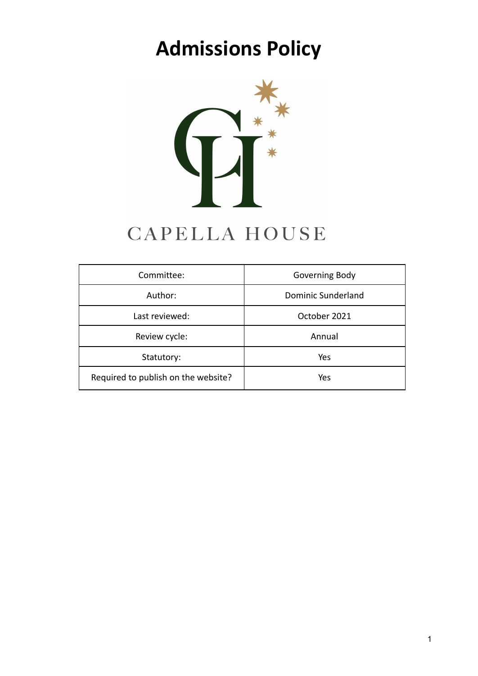# **Admissions Policy**



## CAPELLA HOUSE

| Committee:                          | Governing Body     |
|-------------------------------------|--------------------|
| Author:                             | Dominic Sunderland |
| Last reviewed:                      | October 2021       |
| Review cycle:                       | Annual             |
| Statutory:                          | Yes                |
| Required to publish on the website? | Yes                |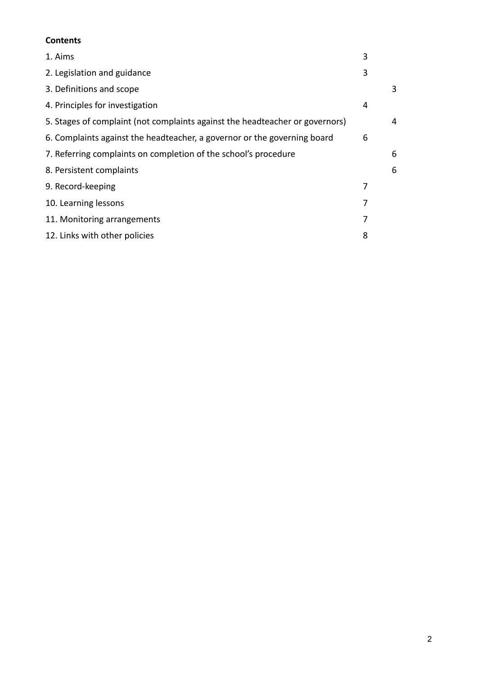## **Contents**

| 1. Aims                                                                      | 3 |   |
|------------------------------------------------------------------------------|---|---|
| 2. Legislation and guidance                                                  | 3 |   |
| 3. Definitions and scope                                                     |   | 3 |
| 4. Principles for investigation                                              | 4 |   |
| 5. Stages of complaint (not complaints against the headteacher or governors) |   | 4 |
| 6. Complaints against the headteacher, a governor or the governing board     | 6 |   |
| 7. Referring complaints on completion of the school's procedure              |   | 6 |
| 8. Persistent complaints                                                     |   | 6 |
| 9. Record-keeping                                                            | 7 |   |
| 10. Learning lessons                                                         | 7 |   |
| 11. Monitoring arrangements                                                  | 7 |   |
| 12. Links with other policies                                                | 8 |   |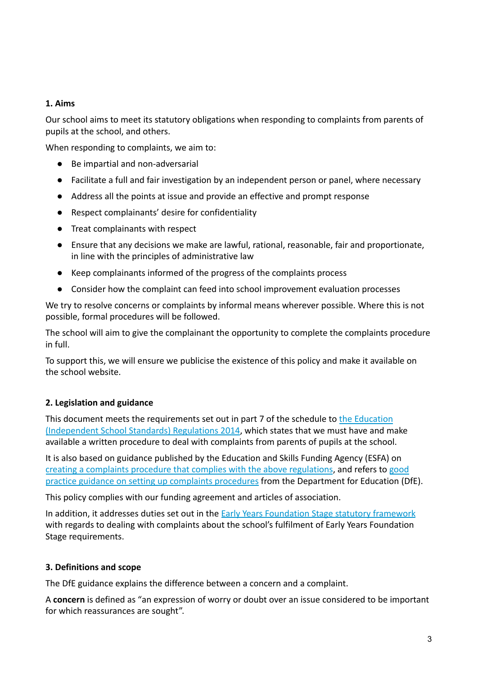## **1. Aims**

Our school aims to meet its statutory obligations when responding to complaints from parents of pupils at the school, and others.

When responding to complaints, we aim to:

- Be impartial and non-adversarial
- Facilitate a full and fair investigation by an independent person or panel, where necessary
- Address all the points at issue and provide an effective and prompt response
- Respect complainants' desire for confidentiality
- Treat complainants with respect
- Ensure that any decisions we make are lawful, rational, reasonable, fair and proportionate, in line with the principles of administrative law
- Keep complainants informed of the progress of the complaints process
- Consider how the complaint can feed into school improvement evaluation processes

We try to resolve concerns or complaints by informal means wherever possible. Where this is not possible, formal procedures will be followed.

The school will aim to give the complainant the opportunity to complete the complaints procedure in full.

To support this, we will ensure we publicise the existence of this policy and make it available on the school website.

## **2. Legislation and guidance**

This document meets the requirements set out in part 7 of the schedule to the [Education](http://www.legislation.gov.uk/uksi/2014/3283/schedule/made) [\(Independent School Standards\) Regulations 2014](http://www.legislation.gov.uk/uksi/2014/3283/schedule/made), which states that we must have and make available a written procedure to deal with complaints from parents of pupils at the school.

It is also based on guidance published by the Education and Skills Funding Agency (ESFA) on [creating a complaints procedure that complies with the above regulations](https://www.gov.uk/government/publications/setting-up-an-academies-complaints-procedure), and refers to [good](https://www.gov.uk/government/publications/school-complaints-procedures) [practice guidance on setting up complaints procedures](https://www.gov.uk/government/publications/school-complaints-procedures) from the Department for Education (DfE).

This policy complies with our funding agreement and articles of association.

In addition, it addresses duties set out in the **Early [Years Foundation Stage statutory framework](https://www.gov.uk/government/publications/early-years-foundation-stage-framework--2)** with regards to dealing with complaints about the school's fulfilment of Early Years Foundation Stage requirements.

## **3. Definitions and scope**

The DfE guidance explains the difference between a concern and a complaint.

A **concern** is defined as "an expression of worry or doubt over an issue considered to be important for which reassurances are sought".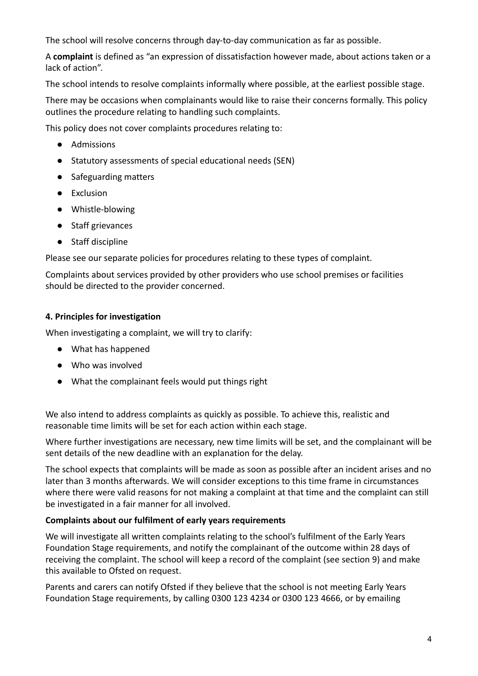The school will resolve concerns through day-to-day communication as far as possible.

A **complaint** is defined as "an expression of dissatisfaction however made, about actions taken or a lack of action".

The school intends to resolve complaints informally where possible, at the earliest possible stage.

There may be occasions when complainants would like to raise their concerns formally. This policy outlines the procedure relating to handling such complaints.

This policy does not cover complaints procedures relating to:

- Admissions
- Statutory assessments of special educational needs (SEN)
- Safeguarding matters
- Exclusion
- Whistle-blowing
- Staff grievances
- Staff discipline

Please see our separate policies for procedures relating to these types of complaint.

Complaints about services provided by other providers who use school premises or facilities should be directed to the provider concerned.

## **4. Principles for investigation**

When investigating a complaint, we will try to clarify:

- What has happened
- Who was involved
- What the complainant feels would put things right

We also intend to address complaints as quickly as possible. To achieve this, realistic and reasonable time limits will be set for each action within each stage.

Where further investigations are necessary, new time limits will be set, and the complainant will be sent details of the new deadline with an explanation for the delay.

The school expects that complaints will be made as soon as possible after an incident arises and no later than 3 months afterwards. We will consider exceptions to this time frame in circumstances where there were valid reasons for not making a complaint at that time and the complaint can still be investigated in a fair manner for all involved.

## **Complaints about our fulfilment of early years requirements**

We will investigate all written complaints relating to the school's fulfilment of the Early Years Foundation Stage requirements, and notify the complainant of the outcome within 28 days of receiving the complaint. The school will keep a record of the complaint (see section 9) and make this available to Ofsted on request.

Parents and carers can notify Ofsted if they believe that the school is not meeting Early Years Foundation Stage requirements, by calling 0300 123 4234 or 0300 123 4666, or by emailing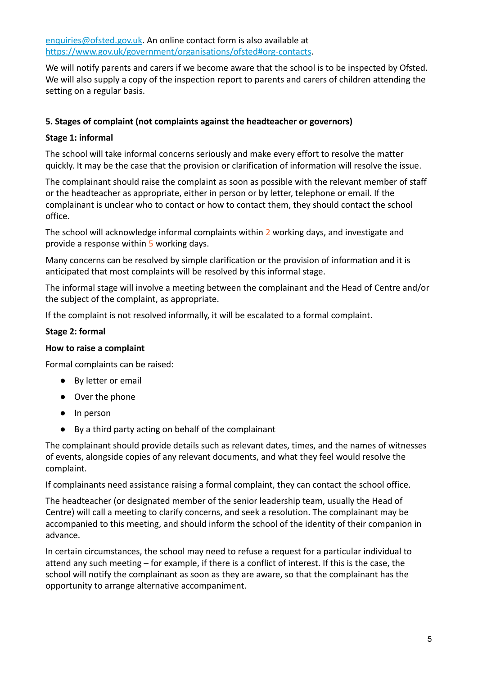[enquiries@ofsted.gov.uk](mailto:enquiries@ofsted.gov.uk). An online contact form is also available at <https://www.gov.uk/government/organisations/ofsted#org-contacts>.

We will notify parents and carers if we become aware that the school is to be inspected by Ofsted. We will also supply a copy of the inspection report to parents and carers of children attending the setting on a regular basis.

## **5. Stages of complaint (not complaints against the headteacher or governors)**

#### **Stage 1: informal**

The school will take informal concerns seriously and make every effort to resolve the matter quickly. It may be the case that the provision or clarification of information will resolve the issue.

The complainant should raise the complaint as soon as possible with the relevant member of staff or the headteacher as appropriate, either in person or by letter, telephone or email. If the complainant is unclear who to contact or how to contact them, they should contact the school office.

The school will acknowledge informal complaints within 2 working days, and investigate and provide a response within 5 working days.

Many concerns can be resolved by simple clarification or the provision of information and it is anticipated that most complaints will be resolved by this informal stage.

The informal stage will involve a meeting between the complainant and the Head of Centre and/or the subject of the complaint, as appropriate.

If the complaint is not resolved informally, it will be escalated to a formal complaint.

#### **Stage 2: formal**

#### **How to raise a complaint**

Formal complaints can be raised:

- By letter or email
- Over the phone
- In person
- By a third party acting on behalf of the complainant

The complainant should provide details such as relevant dates, times, and the names of witnesses of events, alongside copies of any relevant documents, and what they feel would resolve the complaint.

If complainants need assistance raising a formal complaint, they can contact the school office.

The headteacher (or designated member of the senior leadership team, usually the Head of Centre) will call a meeting to clarify concerns, and seek a resolution. The complainant may be accompanied to this meeting, and should inform the school of the identity of their companion in advance.

In certain circumstances, the school may need to refuse a request for a particular individual to attend any such meeting – for example, if there is a conflict of interest. If this is the case, the school will notify the complainant as soon as they are aware, so that the complainant has the opportunity to arrange alternative accompaniment.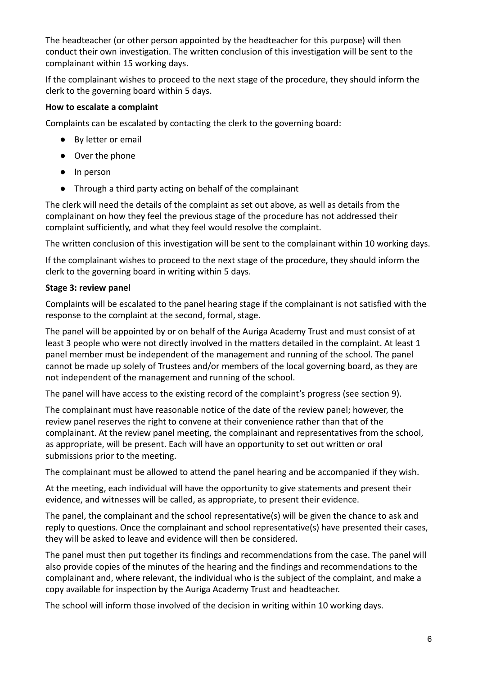The headteacher (or other person appointed by the headteacher for this purpose) will then conduct their own investigation. The written conclusion of this investigation will be sent to the complainant within 15 working days.

If the complainant wishes to proceed to the next stage of the procedure, they should inform the clerk to the governing board within 5 days.

## **How to escalate a complaint**

Complaints can be escalated by contacting the clerk to the governing board:

- By letter or email
- Over the phone
- In person
- Through a third party acting on behalf of the complainant

The clerk will need the details of the complaint as set out above, as well as details from the complainant on how they feel the previous stage of the procedure has not addressed their complaint sufficiently, and what they feel would resolve the complaint.

The written conclusion of this investigation will be sent to the complainant within 10 working days.

If the complainant wishes to proceed to the next stage of the procedure, they should inform the clerk to the governing board in writing within 5 days.

## **Stage 3: review panel**

Complaints will be escalated to the panel hearing stage if the complainant is not satisfied with the response to the complaint at the second, formal, stage.

The panel will be appointed by or on behalf of the Auriga Academy Trust and must consist of at least 3 people who were not directly involved in the matters detailed in the complaint. At least 1 panel member must be independent of the management and running of the school. The panel cannot be made up solely of Trustees and/or members of the local governing board, as they are not independent of the management and running of the school.

The panel will have access to the existing record of the complaint's progress (see section 9).

The complainant must have reasonable notice of the date of the review panel; however, the review panel reserves the right to convene at their convenience rather than that of the complainant. At the review panel meeting, the complainant and representatives from the school, as appropriate, will be present. Each will have an opportunity to set out written or oral submissions prior to the meeting.

The complainant must be allowed to attend the panel hearing and be accompanied if they wish.

At the meeting, each individual will have the opportunity to give statements and present their evidence, and witnesses will be called, as appropriate, to present their evidence.

The panel, the complainant and the school representative(s) will be given the chance to ask and reply to questions. Once the complainant and school representative(s) have presented their cases, they will be asked to leave and evidence will then be considered.

The panel must then put together its findings and recommendations from the case. The panel will also provide copies of the minutes of the hearing and the findings and recommendations to the complainant and, where relevant, the individual who is the subject of the complaint, and make a copy available for inspection by the Auriga Academy Trust and headteacher.

The school will inform those involved of the decision in writing within 10 working days.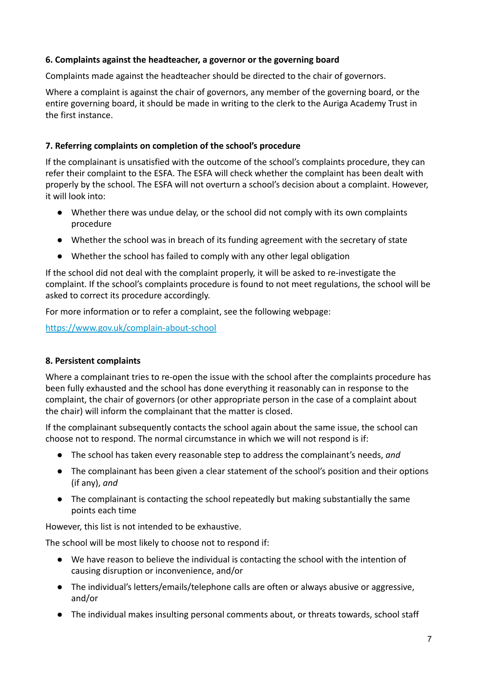## **6. Complaints against the headteacher, a governor or the governing board**

Complaints made against the headteacher should be directed to the chair of governors.

Where a complaint is against the chair of governors, any member of the governing board, or the entire governing board, it should be made in writing to the clerk to the Auriga Academy Trust in the first instance.

## **7. Referring complaints on completion of the school's procedure**

If the complainant is unsatisfied with the outcome of the school's complaints procedure, they can refer their complaint to the ESFA. The ESFA will check whether the complaint has been dealt with properly by the school. The ESFA will not overturn a school's decision about a complaint. However, it will look into:

- Whether there was undue delay, or the school did not comply with its own complaints procedure
- Whether the school was in breach of its funding agreement with the secretary of state
- Whether the school has failed to comply with any other legal obligation

If the school did not deal with the complaint properly, it will be asked to re-investigate the complaint. If the school's complaints procedure is found to not meet regulations, the school will be asked to correct its procedure accordingly.

For more information or to refer a complaint, see the following webpage:

<https://www.gov.uk/complain-about-school>

## **8. Persistent complaints**

Where a complainant tries to re-open the issue with the school after the complaints procedure has been fully exhausted and the school has done everything it reasonably can in response to the complaint, the chair of governors (or other appropriate person in the case of a complaint about the chair) will inform the complainant that the matter is closed.

If the complainant subsequently contacts the school again about the same issue, the school can choose not to respond. The normal circumstance in which we will not respond is if:

- The school has taken every reasonable step to address the complainant's needs, *and*
- The complainant has been given a clear statement of the school's position and their options (if any), *and*
- The complainant is contacting the school repeatedly but making substantially the same points each time

However, this list is not intended to be exhaustive.

The school will be most likely to choose not to respond if:

- We have reason to believe the individual is contacting the school with the intention of causing disruption or inconvenience, and/or
- The individual's letters/emails/telephone calls are often or always abusive or aggressive, and/or
- The individual makes insulting personal comments about, or threats towards, school staff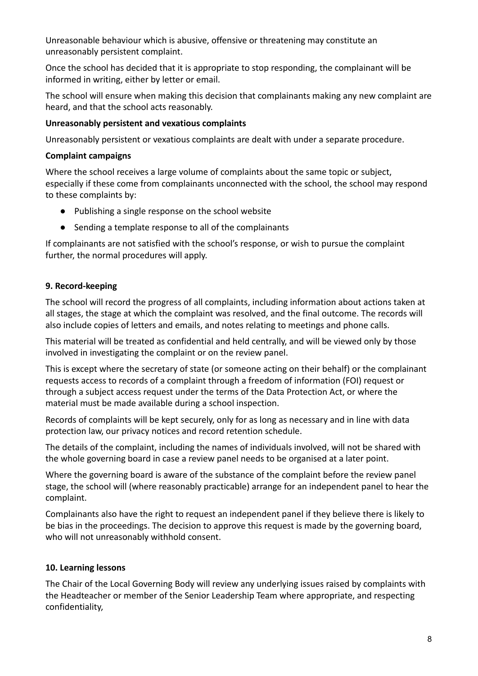Unreasonable behaviour which is abusive, offensive or threatening may constitute an unreasonably persistent complaint.

Once the school has decided that it is appropriate to stop responding, the complainant will be informed in writing, either by letter or email.

The school will ensure when making this decision that complainants making any new complaint are heard, and that the school acts reasonably.

## **Unreasonably persistent and vexatious complaints**

Unreasonably persistent or vexatious complaints are dealt with under a separate procedure.

#### **Complaint campaigns**

Where the school receives a large volume of complaints about the same topic or subject, especially if these come from complainants unconnected with the school, the school may respond to these complaints by:

- Publishing a single response on the school website
- Sending a template response to all of the complainants

If complainants are not satisfied with the school's response, or wish to pursue the complaint further, the normal procedures will apply.

## **9. Record-keeping**

The school will record the progress of all complaints, including information about actions taken at all stages, the stage at which the complaint was resolved, and the final outcome. The records will also include copies of letters and emails, and notes relating to meetings and phone calls.

This material will be treated as confidential and held centrally, and will be viewed only by those involved in investigating the complaint or on the review panel.

This is except where the secretary of state (or someone acting on their behalf) or the complainant requests access to records of a complaint through a freedom of information (FOI) request or through a subject access request under the terms of the Data Protection Act, or where the material must be made available during a school inspection.

Records of complaints will be kept securely, only for as long as necessary and in line with data protection law, our privacy notices and record retention schedule.

The details of the complaint, including the names of individuals involved, will not be shared with the whole governing board in case a review panel needs to be organised at a later point.

Where the governing board is aware of the substance of the complaint before the review panel stage, the school will (where reasonably practicable) arrange for an independent panel to hear the complaint.

Complainants also have the right to request an independent panel if they believe there is likely to be bias in the proceedings. The decision to approve this request is made by the governing board, who will not unreasonably withhold consent.

## **10. Learning lessons**

The Chair of the Local Governing Body will review any underlying issues raised by complaints with the Headteacher or member of the Senior Leadership Team where appropriate, and respecting confidentiality,